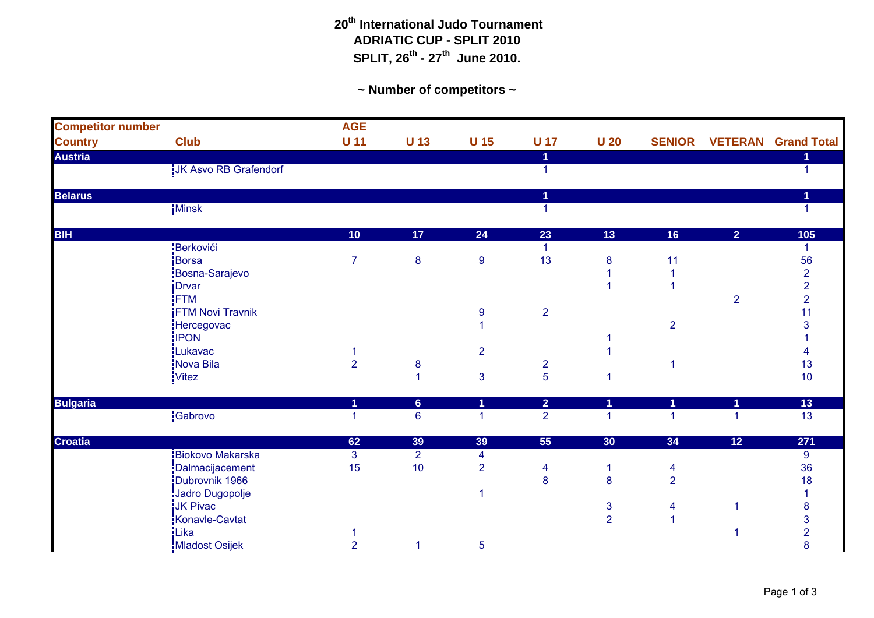## **20th International Judo Tournament ADRIATIC CUP - SPLIT 2010 SPLIT, 26th - 27th June 2010.**

**~ Number of competitors ~**

| <b>Competitor number</b> |                         | <b>AGE</b>     |                 |                         |                         |                 |                         |                |                            |
|--------------------------|-------------------------|----------------|-----------------|-------------------------|-------------------------|-----------------|-------------------------|----------------|----------------------------|
| <b>Country</b>           | <b>Club</b>             | $U$ 11         | <b>U</b> 13     | U <sub>15</sub>         | <b>U</b> 17             | U <sub>20</sub> | <b>SENIOR</b>           |                | <b>VETERAN</b> Grand Total |
| <b>Austria</b>           |                         |                |                 |                         | 1                       |                 |                         |                | 1                          |
|                          | JK Asvo RB Grafendorf   |                |                 |                         | 1                       |                 |                         |                | $\mathbf{1}$               |
| <b>Belarus</b>           |                         |                |                 |                         | 1                       |                 |                         |                |                            |
|                          | Minsk                   |                |                 |                         | 1                       |                 |                         |                |                            |
| <b>BIH</b>               |                         | 10             | 17              | 24                      | 23                      | 13              | 16                      | $\overline{2}$ | 105                        |
|                          | Berkovići               |                |                 |                         | $\mathbf{1}$            |                 |                         |                | 1                          |
|                          | Borsa                   | $\overline{7}$ | 8               | $\boldsymbol{9}$        | 13                      | 8               | 11                      |                | 56                         |
|                          | Bosna-Sarajevo          |                |                 |                         |                         |                 |                         |                | $\overline{2}$             |
|                          | Drvar                   |                |                 |                         |                         |                 |                         |                | $\overline{2}$             |
|                          | <b>FTM</b>              |                |                 |                         |                         |                 |                         | $\overline{2}$ | $\overline{2}$             |
|                          | FTM Novi Travnik        |                |                 | $\boldsymbol{9}$        | $\overline{2}$          |                 |                         |                | 11                         |
|                          | Hercegovac              |                |                 |                         |                         |                 | $\overline{\mathbf{c}}$ |                | З                          |
|                          | <b>IPON</b>             |                |                 |                         |                         |                 |                         |                |                            |
|                          | Lukavac                 |                |                 | $\overline{2}$          |                         |                 |                         |                |                            |
|                          | Nova Bila               | $\overline{2}$ | $\bf 8$         |                         | $\overline{\mathbf{c}}$ |                 |                         |                | 13                         |
|                          | <b>Vitez</b>            |                | 1               | 3                       | 5                       |                 |                         |                | 10                         |
| <b>Bulgaria</b>          |                         | 1              | $6\phantom{a}$  | 1                       | $\overline{2}$          | 1               | 1                       | 1              | 13                         |
|                          | Gabrovo                 | $\mathbf{1}$   | $6\phantom{1}6$ | $\blacktriangleleft$    | $\overline{2}$          | 1               | 1                       | 1              | $\overline{13}$            |
| Croatia                  |                         | 62             | 39              | 39                      | 55                      | 30              | 34                      | 12             | 271                        |
|                          | <b>Biokovo Makarska</b> | $\mathbf{3}$   | $\overline{2}$  | $\overline{\mathbf{4}}$ |                         |                 |                         |                | $\boldsymbol{9}$           |
|                          | Dalmacijacement         | 15             | 10              | $\overline{2}$          | 4                       | 1               | $\overline{\mathbf{4}}$ |                | 36                         |
|                          | Dubrovnik 1966          |                |                 |                         | 8                       | 8               | $\overline{2}$          |                | 18                         |
|                          | Jadro Dugopolje         |                |                 |                         |                         |                 |                         |                |                            |
|                          | JK Pivac                |                |                 |                         |                         | 3               | 4                       |                | 8                          |
|                          | Konavle-Cavtat          |                |                 |                         |                         | $\overline{2}$  | 1                       |                | 3                          |
|                          | Lika                    |                |                 |                         |                         |                 |                         |                | 2                          |
|                          | Mladost Osijek          | $\overline{2}$ | $\overline{1}$  | 5                       |                         |                 |                         |                | 8                          |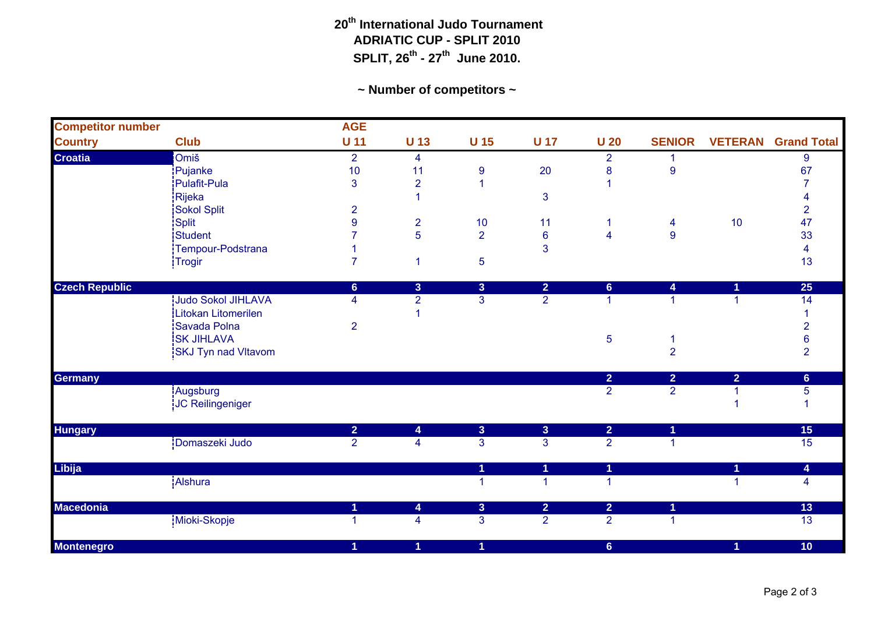## **20th International Judo Tournament ADRIATIC CUP - SPLIT 2010 SPLIT, 26th - 27th June 2010.**

**~ Number of competitors ~**

| <b>Competitor number</b> |                            | <b>AGE</b>     |                         |                         |                         |                         |                         |                |                    |
|--------------------------|----------------------------|----------------|-------------------------|-------------------------|-------------------------|-------------------------|-------------------------|----------------|--------------------|
| <b>Country</b>           | <b>Club</b>                | $U$ 11         | <b>U</b> 13             | U <sub>15</sub>         | <b>U 17</b>             | U <sub>20</sub>         | <b>SENIOR</b>           | <b>VETERAN</b> | <b>Grand Total</b> |
| <b>Croatia</b>           | <b>Omiš</b>                | $\overline{2}$ | 4                       |                         |                         | $\overline{2}$          |                         |                | 9                  |
|                          | Pujanke                    | 10             | 11                      | 9                       | 20                      | 8                       | $\boldsymbol{9}$        |                | 67                 |
|                          | Pulafit-Pula               | 3              | $\overline{2}$          | 1                       |                         |                         |                         |                |                    |
|                          | Rijeka                     |                | 1                       |                         | $\mathbf{3}$            |                         |                         |                |                    |
|                          | Sokol Split                | $\overline{2}$ |                         |                         |                         |                         |                         |                | $\overline{2}$     |
|                          | Split                      | 9              | $\overline{\mathbf{c}}$ | 10                      | 11                      | -1                      | $\overline{\mathbf{4}}$ | 10             | 47                 |
|                          | Student                    |                | 5                       | $\overline{2}$          | $\bf 6$                 | $\overline{\mathbf{4}}$ | $\overline{9}$          |                | 33                 |
|                          | Tempour-Podstrana          |                |                         |                         | 3                       |                         |                         |                | 4                  |
|                          | Trogir                     | $\overline{7}$ | 1                       | 5                       |                         |                         |                         |                | 13                 |
| <b>Czech Republic</b>    |                            | $6\phantom{a}$ | 3                       | $\overline{3}$          | $\overline{2}$          | $6\phantom{1}$          | 4                       | 1              | 25                 |
|                          | <b>Judo Sokol JIHLAVA</b>  | 4              | $\overline{2}$          | 3                       | $\overline{2}$          | 1                       | 1                       | 1              | 14                 |
|                          | Litokan Litomerilen        |                | 1                       |                         |                         |                         |                         |                |                    |
|                          | Savada Polna               | $\overline{2}$ |                         |                         |                         |                         |                         |                | $\overline{2}$     |
|                          | <b>SK JIHLAVA</b>          |                |                         |                         |                         | 5                       | 1                       |                | 6                  |
|                          | <b>SKJ Tyn nad Vltavom</b> |                |                         |                         |                         |                         | $\overline{2}$          |                | $\overline{2}$     |
| <b>Germany</b>           |                            |                |                         |                         |                         | $\overline{2}$          | $\overline{2}$          | $\overline{2}$ | 6 <sup>°</sup>     |
|                          | Augsburg                   |                |                         |                         |                         | $\overline{2}$          | $\overline{2}$          |                | 5                  |
|                          | JC Reilingeniger           |                |                         |                         |                         |                         |                         |                |                    |
| <b>Hungary</b>           |                            | $\overline{2}$ | $\overline{\mathbf{4}}$ | $\overline{\mathbf{3}}$ | $\overline{3}$          | $\overline{2}$          | $\blacktriangleleft$    |                | 15                 |
|                          | Domaszeki Judo             | $\overline{2}$ | $\overline{4}$          | $\overline{3}$          | $\overline{3}$          | $\overline{2}$          | $\overline{1}$          |                | $\overline{15}$    |
| <b>Libija</b>            |                            |                |                         | 1                       | $\overline{\mathbf{1}}$ | $\blacktriangleleft$    |                         | 1              | 4                  |
|                          | Alshura                    |                |                         | $\mathbf{1}$            | $\overline{1}$          | $\overline{1}$          |                         | 1              | 4                  |
| <b>Macedonia</b>         |                            | 1              | 4                       | $\overline{3}$          | $\overline{2}$          | $\overline{2}$          | $\blacktriangleleft$    |                | 13                 |
|                          | Mioki-Skopje               | 1              | $\overline{\mathbf{4}}$ | 3                       | $\overline{2}$          | $\overline{2}$          | $\overline{1}$          |                | 13                 |
| <b>Montenegro</b>        |                            | 1              | 1                       | $\overline{1}$          |                         | $6\phantom{a}$          |                         | $\overline{1}$ | 10                 |